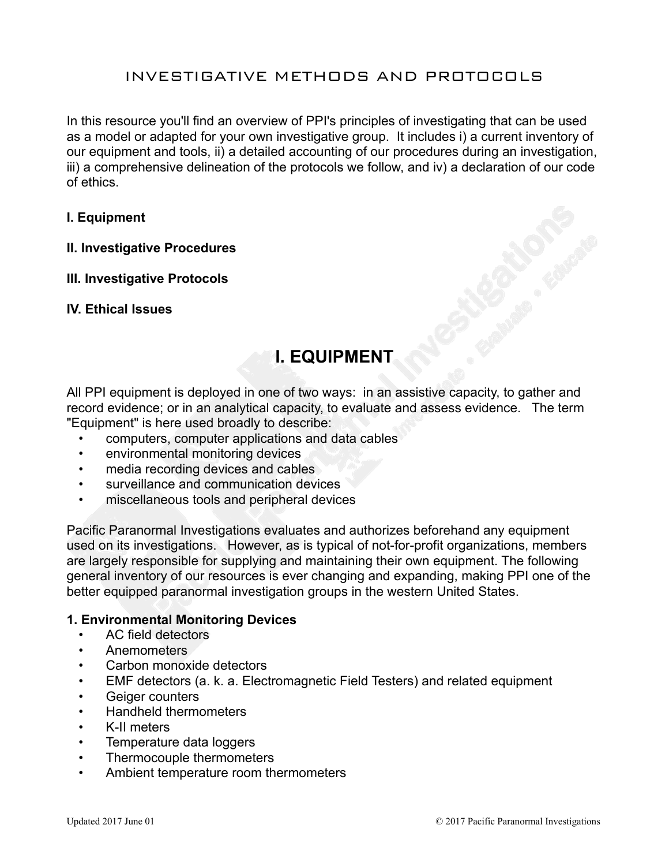# INVESTIGATIVE METHODS AND PROTOCOLS

In this resource you'll find an overview of PPI's principles of investigating that can be used as a model or adapted for your own investigative group. It includes i) a current inventory of our equipment and tools, ii) a detailed accounting of our procedures during an investigation, iii) a comprehensive delineation of the protocols we follow, and iv) a declaration of our code of ethics.

#### **I. Equipment**

#### **II. Investigative Procedures**

#### **III. Investigative Protocols**

#### **IV. Ethical Issues**

# **I. EQUIPMENT**

All PPI equipment is deployed in one of two ways: in an assistive capacity, to gather and record evidence; or in an analytical capacity, to evaluate and assess evidence. The term "Equipment" is here used broadly to describe:

- computers, computer applications and data cables
- environmental monitoring devices
- media recording devices and cables
- surveillance and communication devices
- miscellaneous tools and peripheral devices

Pacific Paranormal Investigations evaluates and authorizes beforehand any equipment used on its investigations. However, as is typical of not-for-profit organizations, members are largely responsible for supplying and maintaining their own equipment. The following general inventory of our resources is ever changing and expanding, making PPI one of the better equipped paranormal investigation groups in the western United States.

#### **1. Environmental Monitoring Devices**

- AC field detectors
- Anemometers
- Carbon monoxide detectors
- EMF detectors (a. k. a. Electromagnetic Field Testers) and related equipment
- Geiger counters
- Handheld thermometers
- K-II meters
- Temperature data loggers
- Thermocouple thermometers
- Ambient temperature room thermometers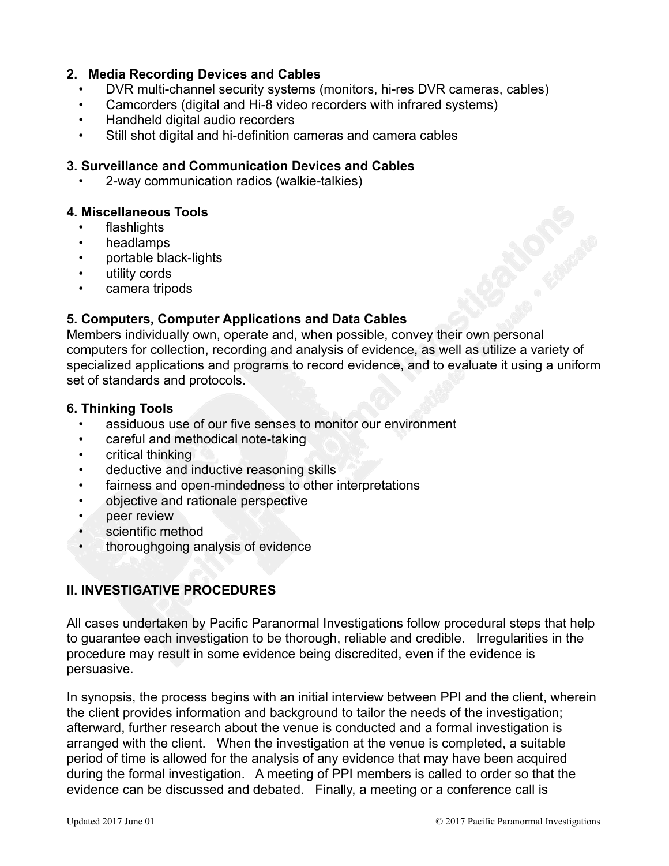#### **2. Media Recording Devices and Cables**

- DVR multi-channel security systems (monitors, hi-res DVR cameras, cables)
- Camcorders (digital and Hi-8 video recorders with infrared systems)
- Handheld digital audio recorders
- Still shot digital and hi-definition cameras and camera cables

#### **3. Surveillance and Communication Devices and Cables**

• 2-way communication radios (walkie-talkies)

# **4. Miscellaneous Tools**

- flashlights
- headlamps
- portable black-lights
- utility cords
- camera tripods

# **5. Computers, Computer Applications and Data Cables**

Members individually own, operate and, when possible, convey their own personal computers for collection, recording and analysis of evidence, as well as utilize a variety of specialized applications and programs to record evidence, and to evaluate it using a uniform set of standards and protocols.

#### **6. Thinking Tools**

- assiduous use of our five senses to monitor our environment
- careful and methodical note-taking
- critical thinking
- deductive and inductive reasoning skills
- fairness and open-mindedness to other interpretations
- objective and rationale perspective
- peer review
- scientific method
- thoroughgoing analysis of evidence

# **II. INVESTIGATIVE PROCEDURES**

All cases undertaken by Pacific Paranormal Investigations follow procedural steps that help to guarantee each investigation to be thorough, reliable and credible. Irregularities in the procedure may result in some evidence being discredited, even if the evidence is persuasive.

In synopsis, the process begins with an initial interview between PPI and the client, wherein the client provides information and background to tailor the needs of the investigation; afterward, further research about the venue is conducted and a formal investigation is arranged with the client. When the investigation at the venue is completed, a suitable period of time is allowed for the analysis of any evidence that may have been acquired during the formal investigation. A meeting of PPI members is called to order so that the evidence can be discussed and debated. Finally, a meeting or a conference call is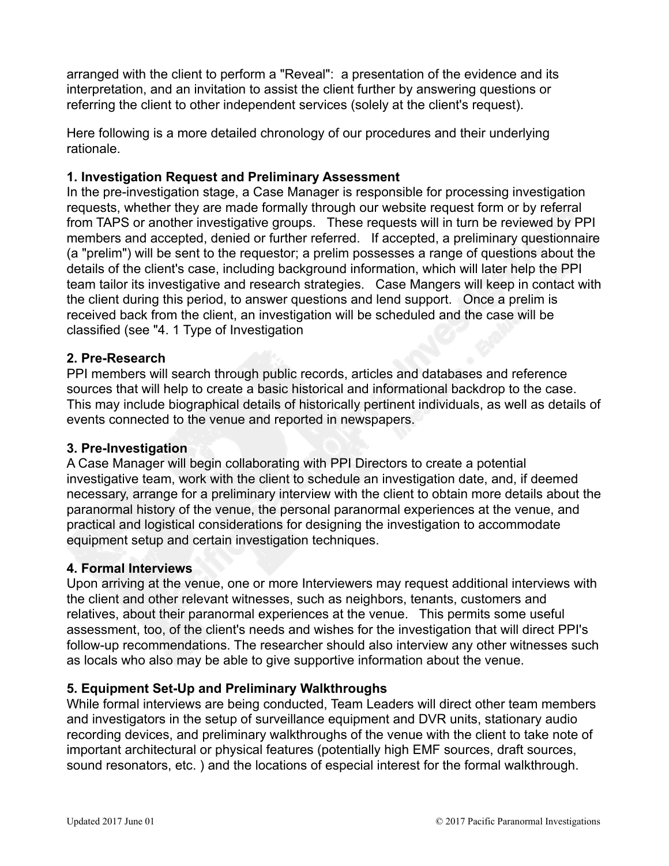arranged with the client to perform a "Reveal": a presentation of the evidence and its interpretation, and an invitation to assist the client further by answering questions or referring the client to other independent services (solely at the client's request).

Here following is a more detailed chronology of our procedures and their underlying rationale.

#### **1. Investigation Request and Preliminary Assessment**

In the pre-investigation stage, a Case Manager is responsible for processing investigation requests, whether they are made formally through our website request form or by referral from TAPS or another investigative groups. These requests will in turn be reviewed by PPI members and accepted, denied or further referred. If accepted, a preliminary questionnaire (a "prelim") will be sent to the requestor; a prelim possesses a range of questions about the details of the client's case, including background information, which will later help the PPI team tailor its investigative and research strategies. Case Mangers will keep in contact with the client during this period, to answer questions and lend support. Once a prelim is received back from the client, an investigation will be scheduled and the case will be classified (see "4. 1 Type of Investigation

# **2. Pre-Research**

PPI members will search through public records, articles and databases and reference sources that will help to create a basic historical and informational backdrop to the case. This may include biographical details of historically pertinent individuals, as well as details of events connected to the venue and reported in newspapers.

#### **3. Pre-Investigation**

A Case Manager will begin collaborating with PPI Directors to create a potential investigative team, work with the client to schedule an investigation date, and, if deemed necessary, arrange for a preliminary interview with the client to obtain more details about the paranormal history of the venue, the personal paranormal experiences at the venue, and practical and logistical considerations for designing the investigation to accommodate equipment setup and certain investigation techniques.

#### **4. Formal Interviews**

Upon arriving at the venue, one or more Interviewers may request additional interviews with the client and other relevant witnesses, such as neighbors, tenants, customers and relatives, about their paranormal experiences at the venue. This permits some useful assessment, too, of the client's needs and wishes for the investigation that will direct PPI's follow-up recommendations. The researcher should also interview any other witnesses such as locals who also may be able to give supportive information about the venue.

# **5. Equipment Set-Up and Preliminary Walkthroughs**

While formal interviews are being conducted, Team Leaders will direct other team members and investigators in the setup of surveillance equipment and DVR units, stationary audio recording devices, and preliminary walkthroughs of the venue with the client to take note of important architectural or physical features (potentially high EMF sources, draft sources, sound resonators, etc. ) and the locations of especial interest for the formal walkthrough.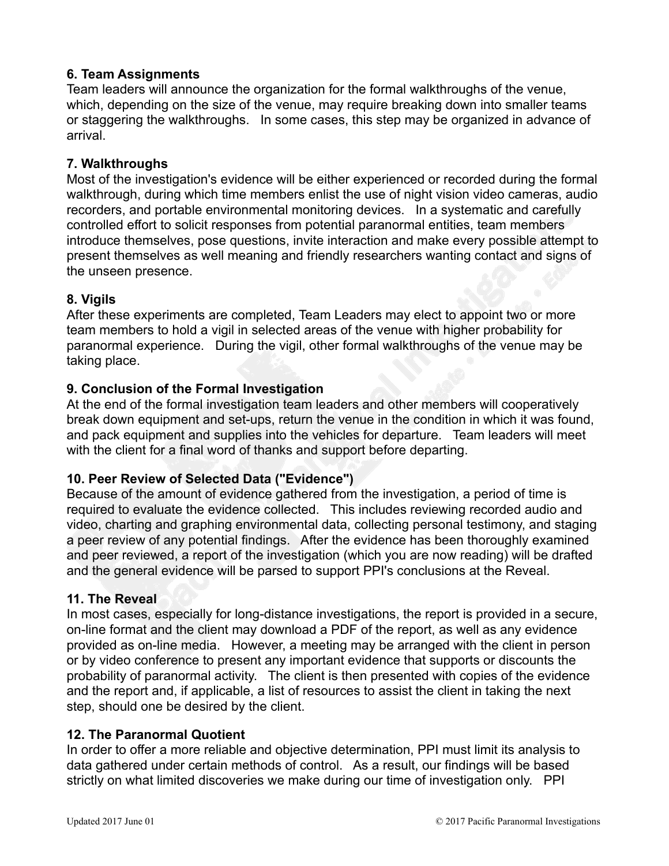# **6. Team Assignments**

Team leaders will announce the organization for the formal walkthroughs of the venue, which, depending on the size of the venue, may require breaking down into smaller teams or staggering the walkthroughs. In some cases, this step may be organized in advance of arrival.

# **7. Walkthroughs**

Most of the investigation's evidence will be either experienced or recorded during the formal walkthrough, during which time members enlist the use of night vision video cameras, audio recorders, and portable environmental monitoring devices. In a systematic and carefully controlled effort to solicit responses from potential paranormal entities, team members introduce themselves, pose questions, invite interaction and make every possible attempt to present themselves as well meaning and friendly researchers wanting contact and signs of the unseen presence.

# **8. Vigils**

After these experiments are completed, Team Leaders may elect to appoint two or more team members to hold a vigil in selected areas of the venue with higher probability for paranormal experience. During the vigil, other formal walkthroughs of the venue may be taking place.

# **9. Conclusion of the Formal Investigation**

At the end of the formal investigation team leaders and other members will cooperatively break down equipment and set-ups, return the venue in the condition in which it was found, and pack equipment and supplies into the vehicles for departure. Team leaders will meet with the client for a final word of thanks and support before departing.

# **10. Peer Review of Selected Data ("Evidence")**

Because of the amount of evidence gathered from the investigation, a period of time is required to evaluate the evidence collected. This includes reviewing recorded audio and video, charting and graphing environmental data, collecting personal testimony, and staging a peer review of any potential findings. After the evidence has been thoroughly examined and peer reviewed, a report of the investigation (which you are now reading) will be drafted and the general evidence will be parsed to support PPI's conclusions at the Reveal.

#### **11. The Reveal**

In most cases, especially for long-distance investigations, the report is provided in a secure, on-line format and the client may download a PDF of the report, as well as any evidence provided as on-line media. However, a meeting may be arranged with the client in person or by video conference to present any important evidence that supports or discounts the probability of paranormal activity. The client is then presented with copies of the evidence and the report and, if applicable, a list of resources to assist the client in taking the next step, should one be desired by the client.

#### **12. The Paranormal Quotient**

In order to offer a more reliable and objective determination, PPI must limit its analysis to data gathered under certain methods of control. As a result, our findings will be based strictly on what limited discoveries we make during our time of investigation only. PPI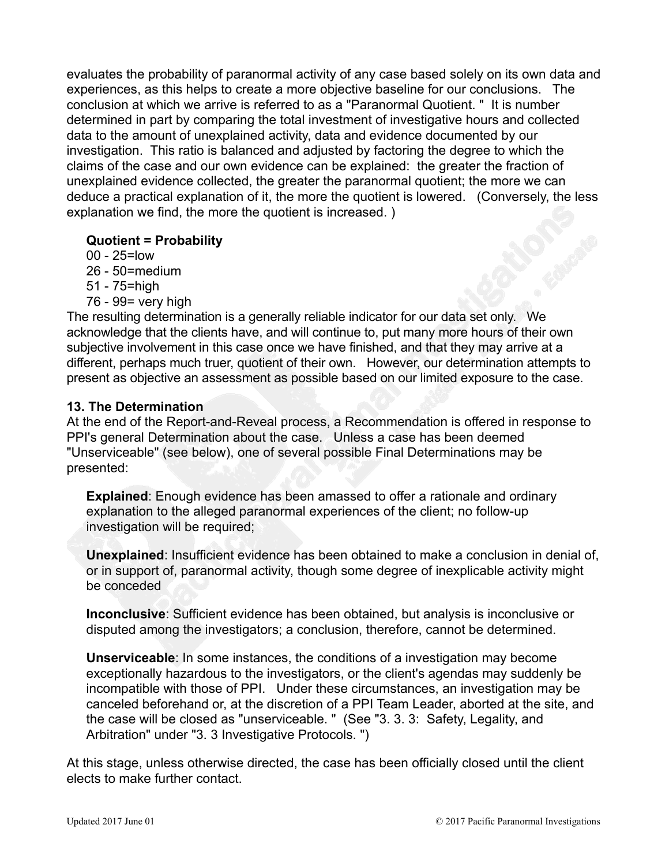evaluates the probability of paranormal activity of any case based solely on its own data and experiences, as this helps to create a more objective baseline for our conclusions. The conclusion at which we arrive is referred to as a "Paranormal Quotient. " It is number determined in part by comparing the total investment of investigative hours and collected data to the amount of unexplained activity, data and evidence documented by our investigation. This ratio is balanced and adjusted by factoring the degree to which the claims of the case and our own evidence can be explained: the greater the fraction of unexplained evidence collected, the greater the paranormal quotient; the more we can deduce a practical explanation of it, the more the quotient is lowered. (Conversely, the less explanation we find, the more the quotient is increased. )

# **Quotient = Probability**

- 00 25=low
- 26 50=medium
- 51 75=high
- 76 99= very high

The resulting determination is a generally reliable indicator for our data set only. We acknowledge that the clients have, and will continue to, put many more hours of their own subjective involvement in this case once we have finished, and that they may arrive at a different, perhaps much truer, quotient of their own. However, our determination attempts to present as objective an assessment as possible based on our limited exposure to the case.

# **13. The Determination**

At the end of the Report-and-Reveal process, a Recommendation is offered in response to PPI's general Determination about the case. Unless a case has been deemed "Unserviceable" (see below), one of several possible Final Determinations may be presented:

**Explained**: Enough evidence has been amassed to offer a rationale and ordinary explanation to the alleged paranormal experiences of the client; no follow-up investigation will be required;

**Unexplained**: Insufficient evidence has been obtained to make a conclusion in denial of, or in support of, paranormal activity, though some degree of inexplicable activity might be conceded

**Inconclusive**: Sufficient evidence has been obtained, but analysis is inconclusive or disputed among the investigators; a conclusion, therefore, cannot be determined.

**Unserviceable**: In some instances, the conditions of a investigation may become exceptionally hazardous to the investigators, or the client's agendas may suddenly be incompatible with those of PPI. Under these circumstances, an investigation may be canceled beforehand or, at the discretion of a PPI Team Leader, aborted at the site, and the case will be closed as "unserviceable. " (See "3. 3. 3: Safety, Legality, and Arbitration" under "3. 3 Investigative Protocols. ")

At this stage, unless otherwise directed, the case has been officially closed until the client elects to make further contact.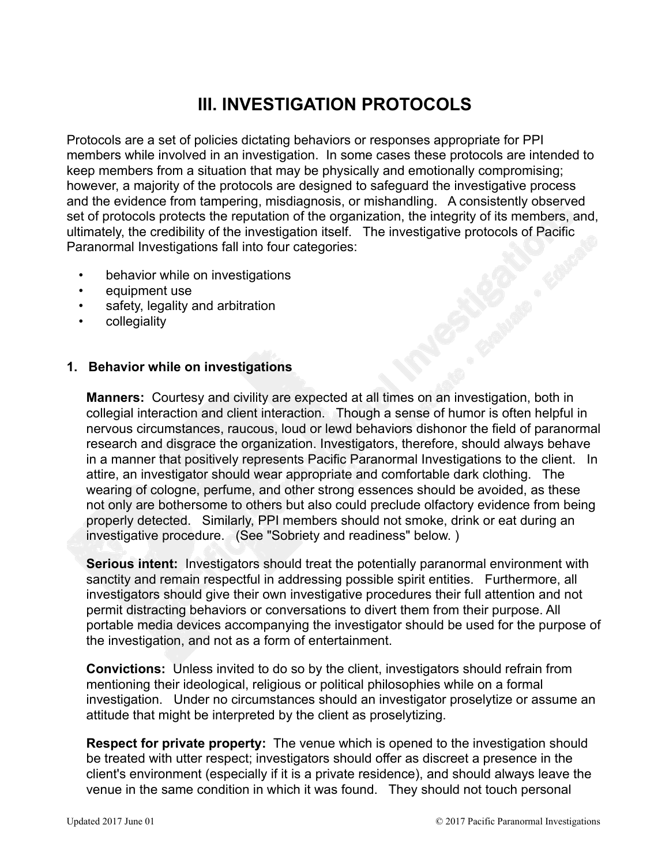# **III. INVESTIGATION PROTOCOLS**

Protocols are a set of policies dictating behaviors or responses appropriate for PPI members while involved in an investigation. In some cases these protocols are intended to keep members from a situation that may be physically and emotionally compromising; however, a majority of the protocols are designed to safeguard the investigative process and the evidence from tampering, misdiagnosis, or mishandling. A consistently observed set of protocols protects the reputation of the organization, the integrity of its members, and, ultimately, the credibility of the investigation itself. The investigative protocols of Pacific Paranormal Investigations fall into four categories:

- behavior while on investigations
- equipment use
- safety, legality and arbitration
- collegiality

#### **1. Behavior while on investigations**

**Manners:** Courtesy and civility are expected at all times on an investigation, both in collegial interaction and client interaction. Though a sense of humor is often helpful in nervous circumstances, raucous, loud or lewd behaviors dishonor the field of paranormal research and disgrace the organization. Investigators, therefore, should always behave in a manner that positively represents Pacific Paranormal Investigations to the client. In attire, an investigator should wear appropriate and comfortable dark clothing. The wearing of cologne, perfume, and other strong essences should be avoided, as these not only are bothersome to others but also could preclude olfactory evidence from being properly detected. Similarly, PPI members should not smoke, drink or eat during an investigative procedure. (See "Sobriety and readiness" below. )

**Serious intent:** Investigators should treat the potentially paranormal environment with sanctity and remain respectful in addressing possible spirit entities. Furthermore, all investigators should give their own investigative procedures their full attention and not permit distracting behaviors or conversations to divert them from their purpose. All portable media devices accompanying the investigator should be used for the purpose of the investigation, and not as a form of entertainment.

**Convictions:** Unless invited to do so by the client, investigators should refrain from mentioning their ideological, religious or political philosophies while on a formal investigation. Under no circumstances should an investigator proselytize or assume an attitude that might be interpreted by the client as proselytizing.

**Respect for private property:** The venue which is opened to the investigation should be treated with utter respect; investigators should offer as discreet a presence in the client's environment (especially if it is a private residence), and should always leave the venue in the same condition in which it was found. They should not touch personal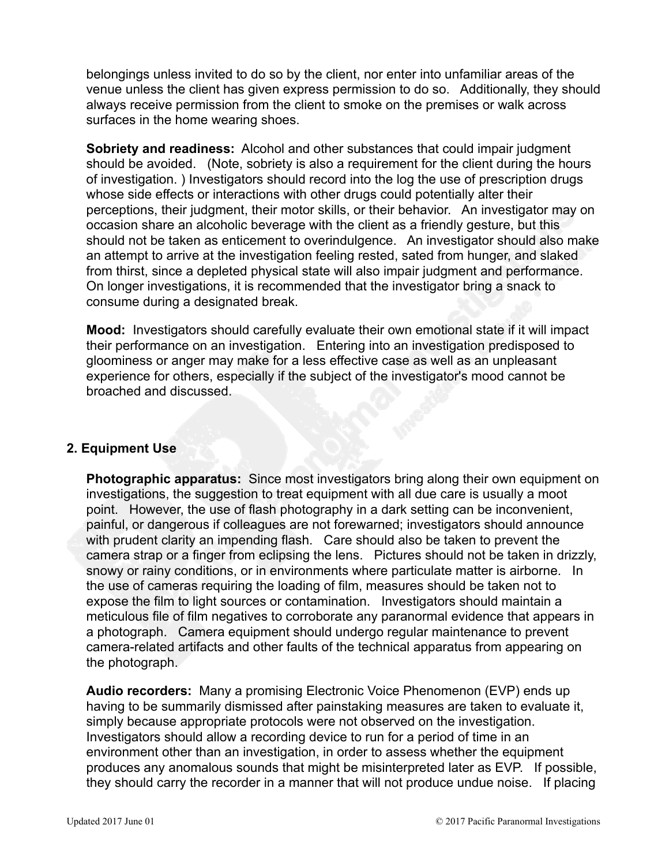belongings unless invited to do so by the client, nor enter into unfamiliar areas of the venue unless the client has given express permission to do so. Additionally, they should always receive permission from the client to smoke on the premises or walk across surfaces in the home wearing shoes.

**Sobriety and readiness:** Alcohol and other substances that could impair judgment should be avoided. (Note, sobriety is also a requirement for the client during the hours of investigation. ) Investigators should record into the log the use of prescription drugs whose side effects or interactions with other drugs could potentially alter their perceptions, their judgment, their motor skills, or their behavior. An investigator may on occasion share an alcoholic beverage with the client as a friendly gesture, but this should not be taken as enticement to overindulgence. An investigator should also make an attempt to arrive at the investigation feeling rested, sated from hunger, and slaked from thirst, since a depleted physical state will also impair judgment and performance. On longer investigations, it is recommended that the investigator bring a snack to consume during a designated break.

**Mood:** Investigators should carefully evaluate their own emotional state if it will impact their performance on an investigation. Entering into an investigation predisposed to gloominess or anger may make for a less effective case as well as an unpleasant experience for others, especially if the subject of the investigator's mood cannot be broached and discussed.

#### **2. Equipment Use**

**Photographic apparatus:** Since most investigators bring along their own equipment on investigations, the suggestion to treat equipment with all due care is usually a moot point. However, the use of flash photography in a dark setting can be inconvenient, painful, or dangerous if colleagues are not forewarned; investigators should announce with prudent clarity an impending flash. Care should also be taken to prevent the camera strap or a finger from eclipsing the lens. Pictures should not be taken in drizzly, snowy or rainy conditions, or in environments where particulate matter is airborne. In the use of cameras requiring the loading of film, measures should be taken not to expose the film to light sources or contamination. Investigators should maintain a meticulous file of film negatives to corroborate any paranormal evidence that appears in a photograph. Camera equipment should undergo regular maintenance to prevent camera-related artifacts and other faults of the technical apparatus from appearing on the photograph.

**Audio recorders:** Many a promising Electronic Voice Phenomenon (EVP) ends up having to be summarily dismissed after painstaking measures are taken to evaluate it, simply because appropriate protocols were not observed on the investigation. Investigators should allow a recording device to run for a period of time in an environment other than an investigation, in order to assess whether the equipment produces any anomalous sounds that might be misinterpreted later as EVP. If possible, they should carry the recorder in a manner that will not produce undue noise. If placing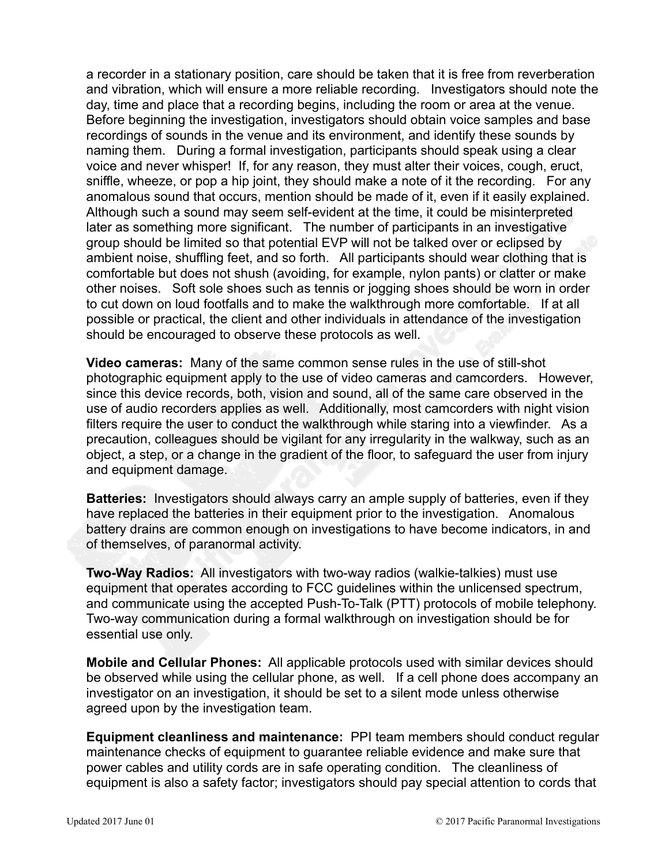a recorder in a stationary position, care should be taken that it is free from reverberation and vibration, which will ensure a more reliable recording. Investigators should note the day, time and place that a recording begins, including the room or area at the venue. Before beginning the investigation, investigators should obtain voice samples and base recordings of sounds in the venue and its environment, and identify these sounds by naming them. During a formal investigation, participants should speak using a clear voice and never whisper! If, for any reason, they must alter their voices, cough, eruct, sniffle, wheeze, or pop a hip joint, they should make a note of it the recording. For any anomalous sound that occurs, mention should be made of it, even if it easily explained. Although such a sound may seem self-evident at the time, it could be misinterpreted later as something more significant. The number of participants in an investigative group should be limited so that potential EVP will not be talked over or eclipsed by ambient noise, shuffling feet, and so forth. All participants should wear clothing that is comfortable but does not shush (avoiding, for example, nylon pants) or clatter or make other noises. Soft sole shoes such as tennis or jogging shoes should be worn in order to cut down on loud footfalls and to make the walkthrough more comfortable. If at all possible or practical, the client and other individuals in attendance of the investigation should be encouraged to observe these protocols as well.

**Video cameras:** Many of the same common sense rules in the use of still-shot photographic equipment apply to the use of video cameras and camcorders. However, since this device records, both, vision and sound, all of the same care observed in the use of audio recorders applies as well. Additionally, most camcorders with night vision filters require the user to conduct the walkthrough while staring into a viewfinder. As a precaution, colleagues should be vigilant for any irregularity in the walkway, such as an object, a step, or a change in the gradient of the floor, to safeguard the user from injury and equipment damage.

**Batteries:** Investigators should always carry an ample supply of batteries, even if they have replaced the batteries in their equipment prior to the investigation. Anomalous battery drains are common enough on investigations to have become indicators, in and of themselves, of paranormal activity.

**Two-Way Radios:** All investigators with two-way radios (walkie-talkies) must use equipment that operates according to FCC guidelines within the unlicensed spectrum, and communicate using the accepted Push-To-Talk (PTT) protocols of mobile telephony. Two-way communication during a formal walkthrough on investigation should be for essential use only.

**Mobile and Cellular Phones:** All applicable protocols used with similar devices should be observed while using the cellular phone, as well. If a cell phone does accompany an investigator on an investigation, it should be set to a silent mode unless otherwise agreed upon by the investigation team.

**Equipment cleanliness and maintenance:** PPI team members should conduct regular maintenance checks of equipment to guarantee reliable evidence and make sure that power cables and utility cords are in safe operating condition. The cleanliness of equipment is also a safety factor; investigators should pay special attention to cords that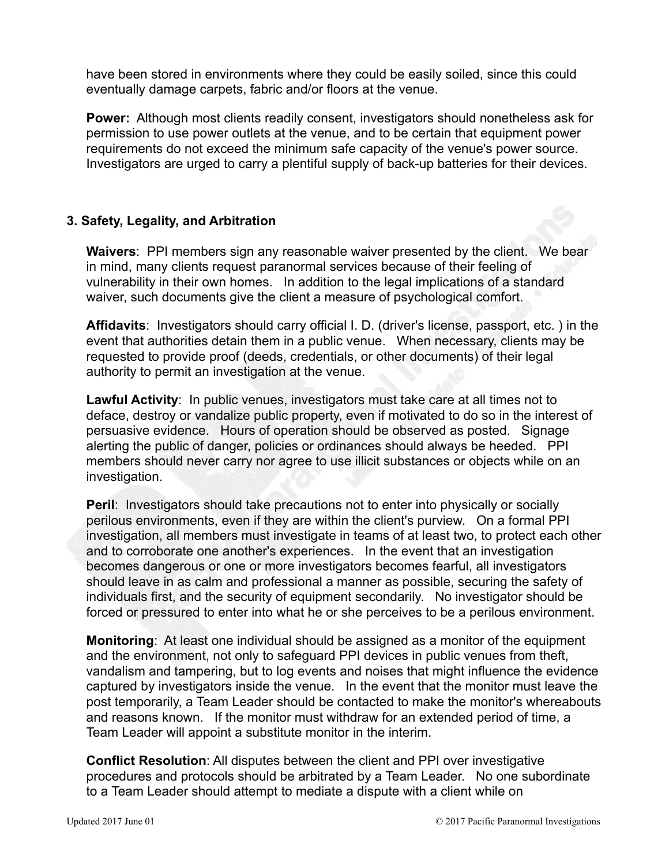have been stored in environments where they could be easily soiled, since this could eventually damage carpets, fabric and/or floors at the venue.

**Power:** Although most clients readily consent, investigators should nonetheless ask for permission to use power outlets at the venue, and to be certain that equipment power requirements do not exceed the minimum safe capacity of the venue's power source. Investigators are urged to carry a plentiful supply of back-up batteries for their devices.

#### **3. Safety, Legality, and Arbitration**

**Waivers**: PPI members sign any reasonable waiver presented by the client. We bear in mind, many clients request paranormal services because of their feeling of vulnerability in their own homes. In addition to the legal implications of a standard waiver, such documents give the client a measure of psychological comfort.

**Affidavits**: Investigators should carry official I. D. (driver's license, passport, etc. ) in the event that authorities detain them in a public venue. When necessary, clients may be requested to provide proof (deeds, credentials, or other documents) of their legal authority to permit an investigation at the venue.

**Lawful Activity**: In public venues, investigators must take care at all times not to deface, destroy or vandalize public property, even if motivated to do so in the interest of persuasive evidence. Hours of operation should be observed as posted. Signage alerting the public of danger, policies or ordinances should always be heeded. PPI members should never carry nor agree to use illicit substances or objects while on an investigation.

**Peril:** Investigators should take precautions not to enter into physically or socially perilous environments, even if they are within the client's purview. On a formal PPI investigation, all members must investigate in teams of at least two, to protect each other and to corroborate one another's experiences. In the event that an investigation becomes dangerous or one or more investigators becomes fearful, all investigators should leave in as calm and professional a manner as possible, securing the safety of individuals first, and the security of equipment secondarily. No investigator should be forced or pressured to enter into what he or she perceives to be a perilous environment.

**Monitoring**: At least one individual should be assigned as a monitor of the equipment and the environment, not only to safeguard PPI devices in public venues from theft, vandalism and tampering, but to log events and noises that might influence the evidence captured by investigators inside the venue. In the event that the monitor must leave the post temporarily, a Team Leader should be contacted to make the monitor's whereabouts and reasons known. If the monitor must withdraw for an extended period of time, a Team Leader will appoint a substitute monitor in the interim.

**Conflict Resolution**: All disputes between the client and PPI over investigative procedures and protocols should be arbitrated by a Team Leader. No one subordinate to a Team Leader should attempt to mediate a dispute with a client while on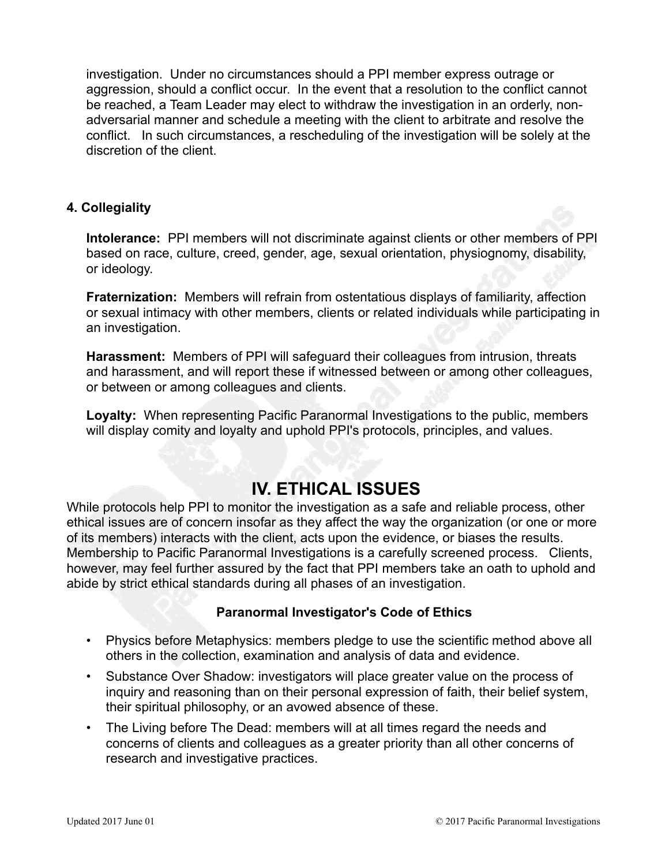investigation. Under no circumstances should a PPI member express outrage or aggression, should a conflict occur. In the event that a resolution to the conflict cannot be reached, a Team Leader may elect to withdraw the investigation in an orderly, nonadversarial manner and schedule a meeting with the client to arbitrate and resolve the conflict. In such circumstances, a rescheduling of the investigation will be solely at the discretion of the client.

# **4. Collegiality**

**Intolerance:** PPI members will not discriminate against clients or other members of PPI based on race, culture, creed, gender, age, sexual orientation, physiognomy, disability, or ideology.

**Fraternization:** Members will refrain from ostentatious displays of familiarity, affection or sexual intimacy with other members, clients or related individuals while participating in an investigation.

**Harassment:** Members of PPI will safeguard their colleagues from intrusion, threats and harassment, and will report these if witnessed between or among other colleagues, or between or among colleagues and clients.

**Loyalty:** When representing Pacific Paranormal Investigations to the public, members will display comity and loyalty and uphold PPI's protocols, principles, and values.

# **IV. ETHICAL ISSUES**

While protocols help PPI to monitor the investigation as a safe and reliable process, other ethical issues are of concern insofar as they affect the way the organization (or one or more of its members) interacts with the client, acts upon the evidence, or biases the results. Membership to Pacific Paranormal Investigations is a carefully screened process. Clients, however, may feel further assured by the fact that PPI members take an oath to uphold and abide by strict ethical standards during all phases of an investigation.

#### **Paranormal Investigator's Code of Ethics**

- Physics before Metaphysics: members pledge to use the scientific method above all others in the collection, examination and analysis of data and evidence.
- Substance Over Shadow: investigators will place greater value on the process of inquiry and reasoning than on their personal expression of faith, their belief system, their spiritual philosophy, or an avowed absence of these.
- The Living before The Dead: members will at all times regard the needs and concerns of clients and colleagues as a greater priority than all other concerns of research and investigative practices.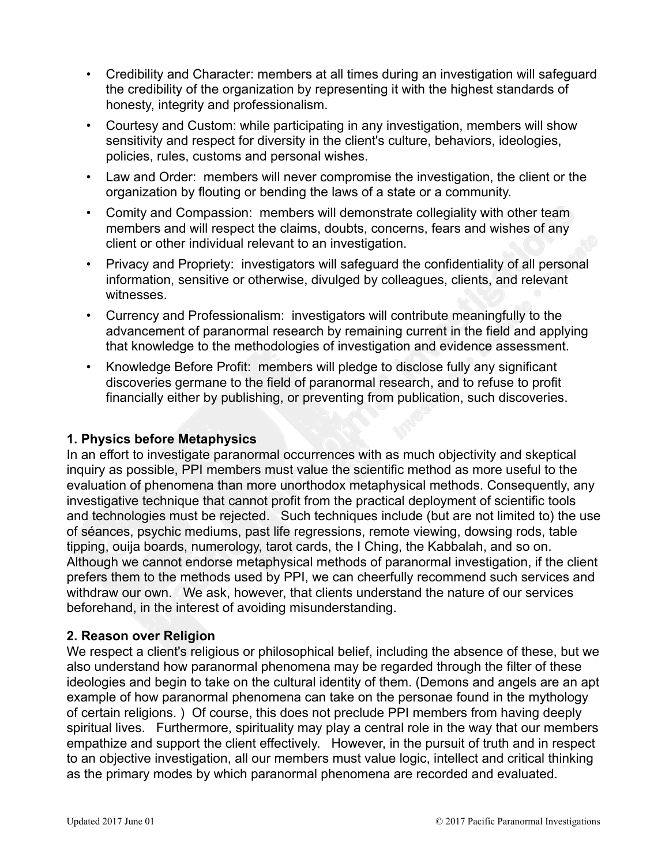- Credibility and Character: members at all times during an investigation will safeguard the credibility of the organization by representing it with the highest standards of honesty, integrity and professionalism.
- Courtesy and Custom: while participating in any investigation, members will show sensitivity and respect for diversity in the client's culture, behaviors, ideologies, policies, rules, customs and personal wishes.
- Law and Order: members will never compromise the investigation, the client or the organization by flouting or bending the laws of a state or a community.
- Comity and Compassion: members will demonstrate collegiality with other team members and will respect the claims, doubts, concerns, fears and wishes of any client or other individual relevant to an investigation.
- Privacy and Propriety: investigators will safeguard the confidentiality of all personal information, sensitive or otherwise, divulged by colleagues, clients, and relevant witnesses.
- Currency and Professionalism: investigators will contribute meaningfully to the advancement of paranormal research by remaining current in the field and applying that knowledge to the methodologies of investigation and evidence assessment.
- Knowledge Before Profit: members will pledge to disclose fully any significant discoveries germane to the field of paranormal research, and to refuse to profit financially either by publishing, or preventing from publication, such discoveries.

#### **1. Physics before Metaphysics**

In an effort to investigate paranormal occurrences with as much objectivity and skeptical inquiry as possible, PPI members must value the scientific method as more useful to the evaluation of phenomena than more unorthodox metaphysical methods. Consequently, any investigative technique that cannot profit from the practical deployment of scientific tools and technologies must be rejected. Such techniques include (but are not limited to) the use of séances, psychic mediums, past life regressions, remote viewing, dowsing rods, table tipping, ouija boards, numerology, tarot cards, the I Ching, the Kabbalah, and so on. Although we cannot endorse metaphysical methods of paranormal investigation, if the client prefers them to the methods used by PPI, we can cheerfully recommend such services and withdraw our own. We ask, however, that clients understand the nature of our services beforehand, in the interest of avoiding misunderstanding.

#### **2. Reason over Religion**

We respect a client's religious or philosophical belief, including the absence of these, but we also understand how paranormal phenomena may be regarded through the filter of these ideologies and begin to take on the cultural identity of them. (Demons and angels are an apt example of how paranormal phenomena can take on the personae found in the mythology of certain religions. ) Of course, this does not preclude PPI members from having deeply spiritual lives. Furthermore, spirituality may play a central role in the way that our members empathize and support the client effectively. However, in the pursuit of truth and in respect to an objective investigation, all our members must value logic, intellect and critical thinking as the primary modes by which paranormal phenomena are recorded and evaluated.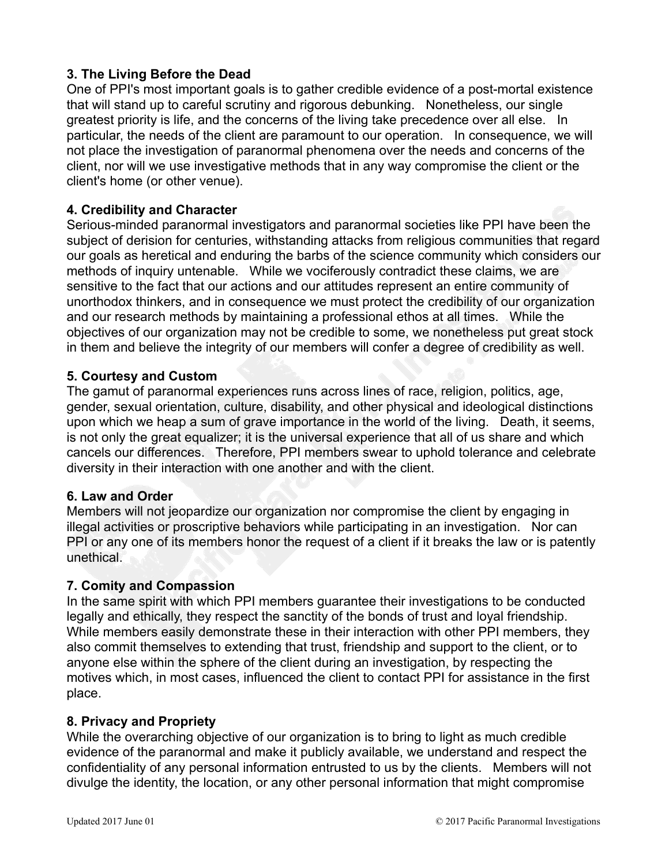# **3. The Living Before the Dead**

One of PPI's most important goals is to gather credible evidence of a post-mortal existence that will stand up to careful scrutiny and rigorous debunking. Nonetheless, our single greatest priority is life, and the concerns of the living take precedence over all else. In particular, the needs of the client are paramount to our operation. In consequence, we will not place the investigation of paranormal phenomena over the needs and concerns of the client, nor will we use investigative methods that in any way compromise the client or the client's home (or other venue).

# **4. Credibility and Character**

Serious-minded paranormal investigators and paranormal societies like PPI have been the subject of derision for centuries, withstanding attacks from religious communities that regard our goals as heretical and enduring the barbs of the science community which considers our methods of inquiry untenable. While we vociferously contradict these claims, we are sensitive to the fact that our actions and our attitudes represent an entire community of unorthodox thinkers, and in consequence we must protect the credibility of our organization and our research methods by maintaining a professional ethos at all times. While the objectives of our organization may not be credible to some, we nonetheless put great stock in them and believe the integrity of our members will confer a degree of credibility as well.

# **5. Courtesy and Custom**

The gamut of paranormal experiences runs across lines of race, religion, politics, age, gender, sexual orientation, culture, disability, and other physical and ideological distinctions upon which we heap a sum of grave importance in the world of the living. Death, it seems, is not only the great equalizer; it is the universal experience that all of us share and which cancels our differences. Therefore, PPI members swear to uphold tolerance and celebrate diversity in their interaction with one another and with the client.

#### **6. Law and Order**

Members will not jeopardize our organization nor compromise the client by engaging in illegal activities or proscriptive behaviors while participating in an investigation. Nor can PPI or any one of its members honor the request of a client if it breaks the law or is patently unethical.

#### **7. Comity and Compassion**

In the same spirit with which PPI members guarantee their investigations to be conducted legally and ethically, they respect the sanctity of the bonds of trust and loyal friendship. While members easily demonstrate these in their interaction with other PPI members, they also commit themselves to extending that trust, friendship and support to the client, or to anyone else within the sphere of the client during an investigation, by respecting the motives which, in most cases, influenced the client to contact PPI for assistance in the first place.

#### **8. Privacy and Propriety**

While the overarching objective of our organization is to bring to light as much credible evidence of the paranormal and make it publicly available, we understand and respect the confidentiality of any personal information entrusted to us by the clients. Members will not divulge the identity, the location, or any other personal information that might compromise